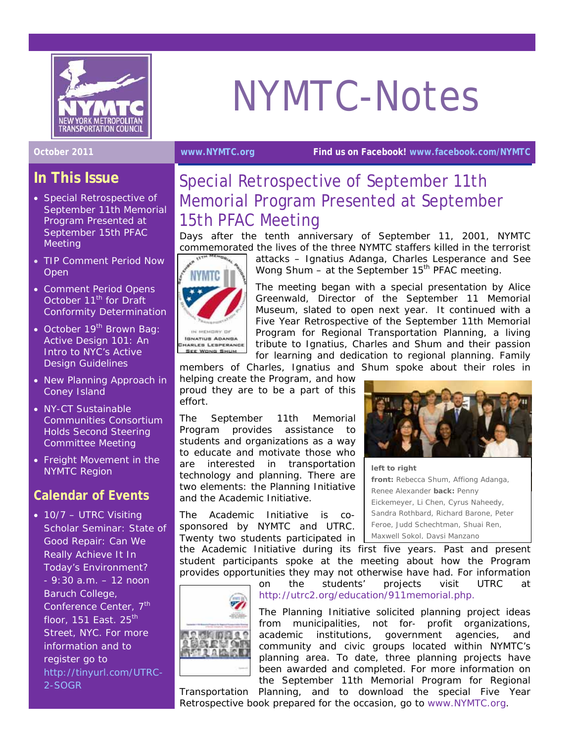

# NYMTC-Notes

**October 2011 [www.NYMTC.org](http://www.nymtc.org/) Find us on Facebook! [www.facebook.com/NYMTC](http://www.facebook.com/NYMTC)**

## **In This Issue**

- Special Retrospective of September 11th Memorial Program Presented at September 15th PFAC **Meeting**
- TIP Comment Period Now Open
- Comment Period Opens October 11<sup>th</sup> for Draft Conformity Determination
- October 19<sup>th</sup> Brown Bag: Active Design 101: An Intro to NYC's Active Design Guidelines
- New Planning Approach in Coney Island
- NY-CT Sustainable Communities Consortium Holds Second Steering Committee Meeting
- Freight Movement in the NYMTC Region

### **Calendar of Events**

• 10/7 - UTRC Visiting Scholar Seminar: State of Good Repair: Can We Really Achieve It In Today's Environment? - 9:30 a.m. – 12 noon Baruch College, Conference Center, 7<sup>th</sup> floor,  $151$  East.  $25^{th}$ Street, NYC. For more information and to register go to [http://tinyurl.com/UTRC-](http://tinyurl.com/UTRC-2-SOGR)[2-SOGR](http://tinyurl.com/UTRC-2-SOGR)

# Special Retrospective of September 11th Memorial Program Presented at September

15th PFAC Meeting Days after the tenth anniversary of September 11, 2001, NYMTC commemorated the lives of the three NYMTC staffers killed in the terrorist



**ISNATIUS ADANSA INARLES LESPERANCE Hara Manager Blazz** 

attacks – Ignatius Adanga, Charles Lesperance and See Wong Shum  $-$  at the September 15<sup>th</sup> PFAC meeting.

The meeting began with a special presentation by Alice Greenwald, Director of the September 11 Memorial Museum, slated to open next year. It continued with a Five Year Retrospective of the September 11th Memorial Program for Regional Transportation Planning, a living tribute to Ignatius, Charles and Shum and their passion for learning and dedication to regional planning. Family

members of Charles, Ignatius and Shum spoke about their roles in

helping create the Program, and how proud they are to be a part of this effort.

The September 11th Memorial Program provides assistance to students and organizations as a way to educate and motivate those who are interested in transportation technology and planning. There are two elements: the Planning Initiative and the Academic Initiative.

The Academic Initiative is cosponsored by NYMTC and UTRC. Twenty two students participated in

the Academic Initiative during its first five years. Past and present student participants spoke at the meeting about how the Program provides opportunities they may not otherwise have had. For information



on the students' projects visit UTRC at <http://utrc2.org/education/911memorial.php>.

The Planning Initiative solicited planning project ideas from municipalities, not for- profit organizations, academic institutions, government agencies, and community and civic groups located within NYMTC's planning area. To date, three planning projects have been awarded and completed. For more information on the September 11th Memorial Program for Regional

Transportation Planning, and to download the special Five Year Retrospective book prepared for the occasion, go to [www.NYMTC.org.](http://www.nymtc.org/)



*left to right front: Rebecca Shum, Affiong Adanga, Renee Alexander back: Penny Eickemeyer, Li Chen, Cyrus Naheedy, Sandra Rothbard, Richard Barone, Peter Feroe, Judd Schechtman, Shuai Ren, Maxwell Sokol, Daysi Manzano*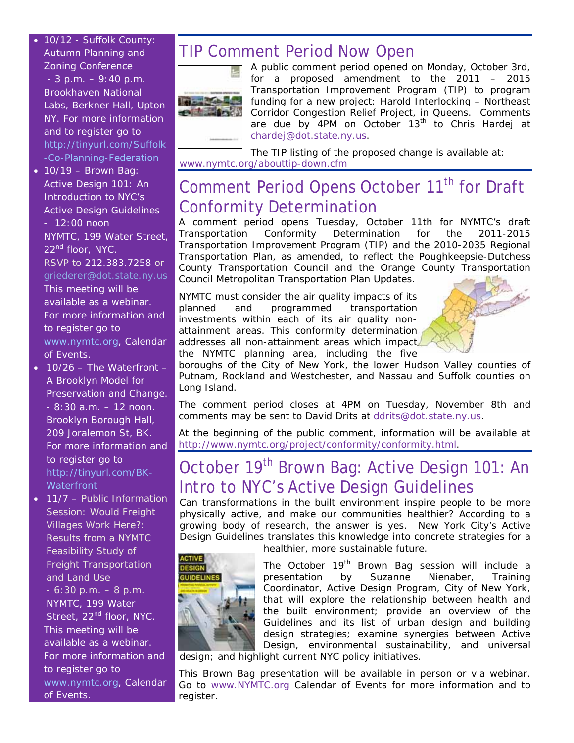- 10/12 Suffolk County: Autumn Planning and Zoning Conference  $-3$  p.m.  $-9:40$  p.m. Brookhaven National Labs, Berkner Hall, Upton NY. For more information and to register go to [http://tinyurl.com/Suffolk](http://tinyurl.com/Suffolk-Co-Planning-Federation) [-Co-Planning-Federation](http://tinyurl.com/Suffolk-Co-Planning-Federation)
- $\bullet$  10/19 Brown Bag: Active Design 101: An Introduction to NYC's Active Design Guidelines - 12:00 noon NYMTC, 199 Water Street, 22<sup>nd</sup> floor, NYC. RSVP to 212.383.7258 or griederer@dot.state.ny.us This meeting will be available as a webinar. For more information and to register go to [www.nymtc.org](http://www.nymtc.org/), Calendar of Events.
- 10/26 The Waterfront A Brooklyn Model for Preservation and Change. - 8:30 a.m. – 12 noon. Brooklyn Borough Hall, 209 Joralemon St, BK. For more information and to register go to [http://tinyurl.com/BK-](http://tinyurl.com/BK-Waterfront)**Waterfront**
- 11/7 Public Information Session: Would Freight Villages Work Here?: Results from a NYMTC Feasibility Study of Freight Transportation and Land Use
	- 6:30 p.m. 8 p.m. NYMTC, 199 Water Street, 22<sup>nd</sup> floor, NYC. This meeting will be available as a webinar. For more information and to register go to [www.nymtc.org](http://www.nymtc.org/), Calendar of Events.

## TIP Comment Period Now Open



A public comment period opened on Monday, October 3rd, for a proposed amendment to the 2011 – 2015 Transportation Improvement Program (TIP) to program funding for a new project: Harold Interlocking – Northeast Corridor Congestion Relief Project, in Queens. Comments are due by 4PM on October 13<sup>th</sup> to Chris Hardej at [chardej@dot.state.ny.us](mailto:chardej@dot.state.ny.us).

The TIP listing of the proposed change is available at: [www.nymtc.org/abouttip-down.cfm](http://www.nymtc.org/abouttip-down.cfm)

## Comment Period Opens October 11<sup>th</sup> for Draft Conformity Determination

A comment period opens Tuesday, October 11th for NYMTC's draft Transportation Conformity Determination for the 2011-2015 Transportation Improvement Program (TIP) and the 2010-2035 Regional Transportation Plan, as amended, to reflect the Poughkeepsie-Dutchess County Transportation Council and the Orange County Transportation Council Metropolitan Transportation Plan Updates.

NYMTC must consider the air quality impacts of its planned and programmed transportation investments within each of its air quality nonattainment areas. This conformity determination addresses all non-attainment areas which impact the NYMTC planning area, including the five



boroughs of the City of New York, the lower Hudson Valley counties of Putnam, Rockland and Westchester, and Nassau and Suffolk counties on Long Island.

The comment period closes at 4PM on Tuesday, November 8th and comments may be sent to David Drits at [ddrits@dot.state.ny.us](mailto:ddrits@dot.state.ny.us).

At the beginning of the public comment, information will be available at [http://www.nymtc.org/project/conformity/conformity.html.](http://www.nymtc.org/project/conformity/conformity.html)

## October 19<sup>th</sup> Brown Bag: Active Design 101: An Intro to NYC's Active Design Guidelines

Can transformations in the built environment inspire people to be more physically active, and make our communities healthier? According to a growing body of research, the answer is yes. New York City's *Active Design Guidelines* translates this knowledge into concrete strategies for a



healthier, more sustainable future.

The October 19<sup>th</sup> Brown Bag session will include a presentation by Suzanne Nienaber, Training Coordinator, Active Design Program, City of New York, that will explore the relationship between health and the built environment; provide an overview of the Guidelines and its list of urban design and building design strategies; examine synergies between Active Design, environmental sustainability, and universal

design; and highlight current NYC policy initiatives.

This Brown Bag presentation will be available in person or via webinar. Go to [www.NYMTC.org](http://www.nymtc.org/) Calendar of Events for more information and to register.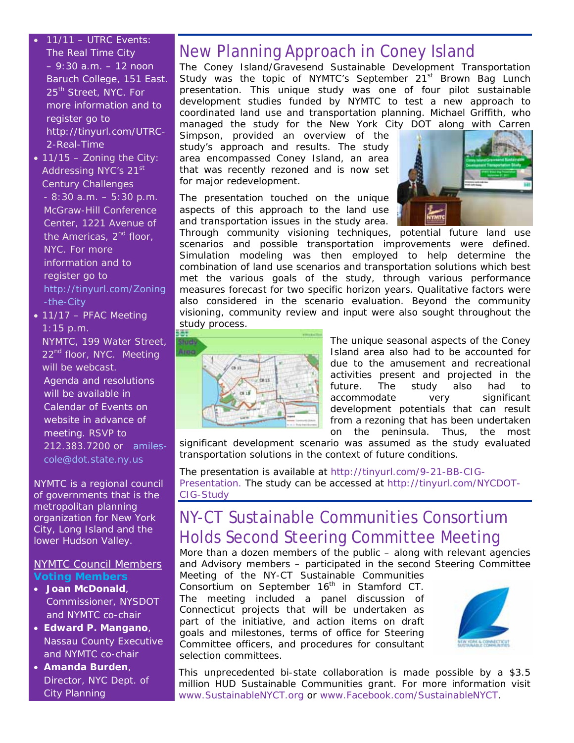- 11/11 UTRC Events: The Real Time City – 9:30 a.m. – 12 noon Baruch College, 151 East. 25<sup>th</sup> Street, NYC. For more information and to register go to http://tinyurl.com/UTRC-2-Real-Time
- $\bullet$  11/15 Zoning the City: Addressing NYC's 21<sup>st</sup> Century Challenges - 8:30 a.m. – 5:30 p.m. McGraw-Hill Conference Center, 1221 Avenue of the Americas,  $2^{nd}$  floor, NYC. For more information and to register go to [http://tinyurl.com/Zoning](http://tinyurl.com/Zoning-the-City) [-the-City](http://tinyurl.com/Zoning-the-City)
- 11/17 PFAC Meeting 1:15 p.m. NYMTC, 199 Water Street,

22<sup>nd</sup> floor, NYC. Meeting will be webcast.

Agenda and resolutions will be available in Calendar of Events on website in advance of meeting. RSVP to 212.383.7200 or [amiles](mailto:amiles-cole@dot.state.ny.us)[cole@dot.state.ny.us](mailto:amiles-cole@dot.state.ny.us)

*NYMTC is a regional council of governments that is the metropolitan planning organization for New York City, Long Island and the lower Hudson Valley*.

#### NYMTC Council Members **Voting Members**

- **Joan McDonald**, Commissioner, NYSDOT and NYMTC co-chair
- **Edward P. Mangano**, Nassau County Executive and NYMTC co-chair
- **Amanda Burden**, Director, NYC Dept. of City Planning

## New Planning Approach in Coney Island

The Coney Island/Gravesend Sustainable Development Transportation Study was the topic of NYMTC's September 21<sup>st</sup> Brown Bag Lunch presentation. This unique study was one of four pilot sustainable development studies funded by NYMTC to test a new approach to coordinated land use and transportation planning. Michael Griffith, who managed the study for the New York City DOT along with Carren

Simpson, provided an overview of the study's approach and results. The study area encompassed Coney Island, an area that was recently rezoned and is now set for major redevelopment.

The presentation touched on the unique aspects of this approach to the land use and transportation issues in the study area.



Through community visioning techniques, potential future land use scenarios and possible transportation improvements were defined. Simulation modeling was then employed to help determine the combination of land use scenarios and transportation solutions which best met the various goals of the study, through various performance measures forecast for two specific horizon years. Qualitative factors were also considered in the scenario evaluation. Beyond the community visioning, community review and input were also sought throughout the study process.



The unique seasonal aspects of the Coney Island area also had to be accounted for due to the amusement and recreational activities present and projected in the future. The study also had to accommodate very significant development potentials that can result from a rezoning that has been undertaken on the peninsula. Thus, the most

significant development scenario was assumed as the study evaluated transportation solutions in the context of future conditions.

The presentation is available at [http://tinyurl.com/9-21-BB-CIG-](http://tinyurl.com/9-21-BB-CIG-Presentation)[Presentation](http://tinyurl.com/9-21-BB-CIG-Presentation). The study can be accessed at [http://tinyurl.com/NYCDOT-](http://tinyurl.com/NYCDOT-CIG-Study)[CIG-Study](http://tinyurl.com/NYCDOT-CIG-Study)

## NY-CT Sustainable Communities Consortium Holds Second Steering Committee Meeting

More than a dozen members of the public – along with relevant agencies and Advisory members – participated in the second Steering Committee Meeting of the NY-CT Sustainable Communities

Consortium on September 16<sup>th</sup> in Stamford CT. The meeting included a panel discussion of Connecticut projects that will be undertaken as part of the initiative, and action items on draft goals and milestones, terms of office for Steering Committee officers, and procedures for consultant selection committees.



This unprecedented bi-state collaboration is made possible by a \$3.5 million HUD Sustainable Communities grant. For more information visit [www.SustainableNYCT.org](http://www.sustainablenyct.org/) or [www.Facebook.com/SustainableNYCT](http://www.facebook.com/SustainableNYCT).